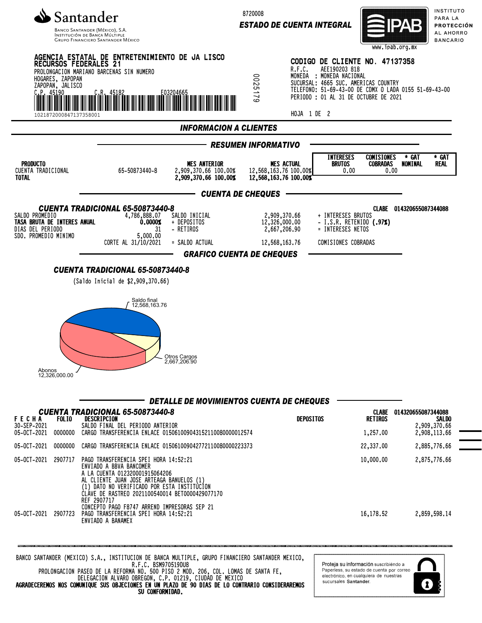

INSTITUCIÓN DE BANCA MÚLTIF **GRUPO FINANCIERO SANTANDER MÉXICO**  8720008

*ESTADO DE CUENTA INTEGRAL*



INSTITUTO PARA LA PROTECCIÓN AL AHORRO **BANCARIO** 



R.F.C. BSM970519DU8 PROLONGACION PASEO DE LA REFORMA NO. 500 PISO 2 MOD. 206, COL. LOMAS DE SANTA FE, DELEGACION ALVARO OBREGON, C.P. 01219, CIUDAD DE MEXICO AGRADECEREMOS NOS COMUNIQUE SUS OBJECIONES EN UN PLAZO DE 90 DIAS DE LO CONTRARIO CONSIDERAREMOS SU CONFORMIDAD.

Proteja su información suscribiéndo a Paperless, su estado de cuenta por correo electrónico, en cualquiera de nuestras sucursales Santander

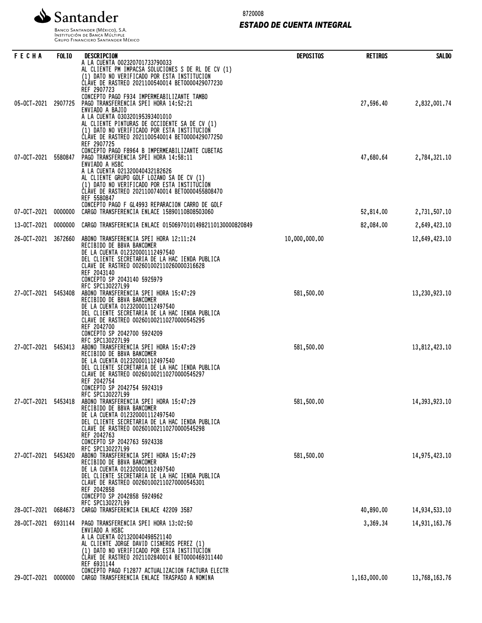

8720008

# *ESTADO DE CUENTA INTEGRAL*

Banco Santander (México), S.A.<br>Institución de Banca Múltiple<br>Grupo Financiero Santander México

| FECHA               | <b>FOLIO</b> | DESCRIPCION                                                                                                                                                                                                                                                                                            | <b>DEPOSITOS</b> | <b>RETIROS</b> | <b>SALDO</b>  |
|---------------------|--------------|--------------------------------------------------------------------------------------------------------------------------------------------------------------------------------------------------------------------------------------------------------------------------------------------------------|------------------|----------------|---------------|
|                     |              | A LA CUENTA 002320701733790033<br>AL CLIENTE PM IMPACSA SOLUCIONES S DE RL DE CV (1)<br>(1) DATO NO VERIFICADO POR ESTA INSTITUCION<br>CLAVE DE RASTREO 2021100540014 BET0000429077230<br>REF 2907723                                                                                                  |                  |                |               |
| 05-0CT-2021         | 2907725      | CONCEPTO PAGO F934 IMPERMEABILIZANTE TAMBO<br>PAGO TRANSFERENCIA SPEI HORA 14:52:21<br>ENVIADO A BAJIO                                                                                                                                                                                                 |                  | 27,596.40      | 2,832,001.74  |
|                     |              | A LA CUENTA 030320195393401010<br>AL CLIENTE PINTURAS DE OCCIDENTE SA DE CV (1)<br>(1) DATO NO VERIFICADO POR ESTA INSTITUCION<br>CLAVE DE RASTREO 2021100540014 BET0000429077250<br>REF 2907725                                                                                                       |                  |                |               |
| 07-OCT-2021         | 5580847      | CONCEPTO PAGO F8964 B IMPERMEABILIZANTE CUBETAS<br>PAGO TRANSFERENCIA SPEI HORA 14:58:11<br>ENVIADO A HSBC<br>A LA CUENTA 021320040432182626                                                                                                                                                           |                  | 47,680.64      | 2,784,321.10  |
|                     |              | AL CLIENTE GRUPO GOLF LOZANO SA DE CV (1)<br>(1) DATO NO VERIFICADO POR ESTA INSTITUCION<br>CLÁVE DE RASTREO 2021100740014 BET0000455808470<br>REF 5580847                                                                                                                                             |                  |                |               |
| 07-OCT-2021         | 0000000      | CONCEPTO PAGO F GL4993 REPARACION CARRO DE GOLF<br>CARGO TRANSFERENCIA ENLACE 15890110808503060                                                                                                                                                                                                        |                  | 52,814.00      | 2,731,507.10  |
| 13-0CT-2021         | 0000000      | CARGO TRANSFERENCIA ENLACE 015069701014982110130000820849                                                                                                                                                                                                                                              |                  | 82,084.00      | 2,649,423.10  |
| 26-0CT-2021         | 3672660      | ABONO TRANSFERENCIA SPEI HORA 12:11:24<br>RECIBIDO DE BBVA BANCOMER<br>DE LA CUENTA 012320001112497540<br>DEL CLIENTE SECRETARIA DE LA HAC IENDA PUBLICA<br>CLAVE DE RASTREO 002601002110260000316628<br>REF 2043140                                                                                   | 10,000,000.00    |                | 12,649,423.10 |
| 27-OCT-2021         | 5453408      | CONCEPTO SP 2043140 5925979<br>RFC SPC130227L99<br>ABONO TRANSFERENCIA SPEI HORA 15:47:29<br>RECIBIDO DE BBVA BANCOMER<br>DE LA CUENTA 012320001112497540<br>DEL CLIENTE SECRETARIA DE LA HAC IENDA PUBLICA<br>CLAVE DE RASTREO 002601002110270000545295<br>REF 2042700                                | 581,500.00       |                | 13,230,923.10 |
| 27-0CT-2021 5453413 |              | CONCEPTO SP 2042700 5924209<br>RFC SPC130227L99<br>ABONO TRANSFERENCIA SPEI HORA 15:47:29<br>RECIBIDO DE BBVA BANCOMER<br>DE LA CUENTA 012320001112497540<br>DEL CLIENTE SECRETARIA DE LA HAC IENDA PUBLICA<br>CLAVE DE RASTREO 002601002110270000545297<br>REF 2042754                                | 581,500.00       |                | 13,812,423.10 |
| 27-OCT-2021 5453418 |              | CONCEPTO SP 2042754 5924319<br>RFC SPC130227L99<br>ABONO TRANSFERENCIA SPEI HORA 15:47:29<br>RECIBIDO DE BBVA BANCOMER<br>DE LA CUENTA 012320001112497540<br>DEL CLIENTE SECRETARIA DE LA HAC IENDA PUBLICA<br>CLAVE DE RASTREO 002601002110270000545298<br>REF 2042763                                | 581,500.00       |                | 14,393,923.10 |
| 27-0CT-2021 5453420 |              | CONCEPTO SP 2042763 5924338<br>RFC SPC130227L99<br>ABONO TRANSFERENCIA SPEI HORA 15:47:29<br>RECIBIDO DE BBVA BANCOMER<br>DE LA CUENTA 012320001112497540<br>DEL CLIENTE SECRETARIA DE LA HAC IENDA PUBLICA<br>CLAVE DE RASTREO 002601002110270000545301<br>REF 2042858<br>CONCEPTO SP 2042858 5924962 | 581,500.00       |                | 14,975,423.10 |
| 28-OCT-2021         | 0684673      | RFC SPC130227L99<br>CARGO TRANSFERENCIA ENLACE 42209 3587                                                                                                                                                                                                                                              |                  | 40,890.00      | 14,934,533.10 |
| 28-0CT-2021 6931144 |              | PAGO TRANSFERENCIA SPEI HORA 13:02:50                                                                                                                                                                                                                                                                  |                  | 3,369.34       | 14,931,163.76 |
|                     |              | ENVIADO A HSBC<br>A LA CUENTA 021320040498521140<br>AL CLIENTE JORGE DAVID CISNEROS PEREZ (1)<br>(1) DATO NO VERIFICADO POR ESTA INSTITUCION<br>ČLÁVE DE RASTREO 2021102840014 BET0000469311440<br>REF 6931144                                                                                         |                  |                |               |
| 29-OCT-2021         | 0000000      | CONCEPTO PAGO F12877 ACTUALIZACION FACTURA ELECTR<br>CARGO TRANSFERENCIA ENLACE TRASPASO A NOMINA                                                                                                                                                                                                      |                  | 1,163,000.00   | 13,768,163.76 |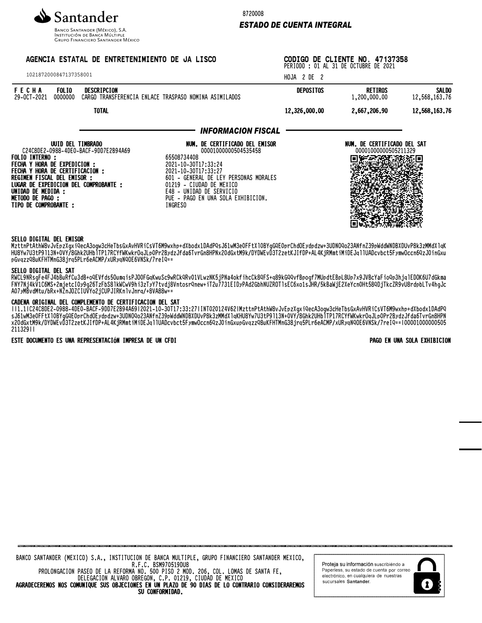

INSTITUCIÓN DE BANCA MÚLTIPLE **GRUPO FINANCIERO SANTANDER MÉXICO** 

# AGENCIA ESTATAL DE ENTRETENIMIENTO DE JA LISCO

1021872000847137358001

## 8720008

# *ESTADO DE CUENTA INTEGRAL*

CODIGO DE CLIENTE NO. 47137358 PERIODO : 01 AL 31 DE OCTUBRE DE 2021

HOJA 2 DE 2

| FECHA<br>29-OCT-2021 | <b>FOLIO</b><br>0000000 | DESCRIPCION<br>Cargo | TRANSFERENCIA ENLACE TRASPASO NOMINA ASIMILADOS | <b>DEPOSITOS</b> | <b>RETIROS</b><br>1,200,000,00 | <b>SALDO</b><br>12,568,163,76 |
|----------------------|-------------------------|----------------------|-------------------------------------------------|------------------|--------------------------------|-------------------------------|
|                      |                         | <b>TOTAL</b>         |                                                 | 12,326,000,00    | 2,667,206,90                   | 12,568,163,76                 |

## *INFORMACION FISCAL*

| UUID DEL TIMBRADO<br>C24C8DE2-0988-4DE0-BACF-9DD7E2B94A69<br><b>FOLIO INTERNO :</b><br>FECHA Y HORA DE EXPEDICION :<br>FECHA Y HORA DE CERTIFICACION :<br>REGIMEN FISCAL DEL EMISOR :<br>LUGAR DE EXPEDICION DEL COMPROBANTE :<br>UNIDAD DE MEDIDA :<br>METODO DE PAGO :<br>TIPO DE COMPROBANTE : | NUM. DE CERTIFICADO DEL EMISOR<br>00001000000504535458<br>65508734408<br>2021-10-30T17:33:24<br>2021-10-30T17:33:27<br>601 - GENERAL DE LEY PERSONAS MORALES<br>01219 - CIUDAD DE MEXICO<br>E48 - UNIDAD DE SERVICIO<br>PUE - PAGO EN UNA SOLA EXHIBICION.<br>INGRESO | NUM. DE CERTIFICADO DEL SAT<br>00001000000505211329 |
|---------------------------------------------------------------------------------------------------------------------------------------------------------------------------------------------------------------------------------------------------------------------------------------------------|-----------------------------------------------------------------------------------------------------------------------------------------------------------------------------------------------------------------------------------------------------------------------|-----------------------------------------------------|

## SELLO DIGITAL DEL EMISOR

MZttnFtAthW8vJvEpzXgXiQecA3Ogw3cHeTbSGXAVHVRiCsVT0M9WXhp+dXbOdX1DAdPQsJ61WM3eVFFtXiOBTgGQEVpFChdOEydpdzw+3UDNOQOZ3ANfnZ39pWddWNDBXDUVP6K3ZMMdXlqR HU0TW/U3tP9l13N+0VT/8GhkZUHDlIP1/RCTFWKWKrOqJLpUPrZDydZJFda6TvrGn0HPNXZVUGXtM9K/DTDWEVD3TZZetKJIFDP+AL4KjKMMtiMiDEJqllUADCVDCt3FyMWUCCN0YZJVTNGXU pGvqzzQ8uKFHTMnG38jrq5PLr6eACMP/xURyqNQOE6VNSk/7reIQ==

## SELLO DIGITAL DEL SAT

RWCL9NRsgFe4FJ4bBuRfCu3dB+oQEVfds5OumqisPJO0FGqKwuSc9wRCkQRv01VLwzNK5jPNa4okfihcCk8QFS+q89kGQQvfBpogf7MUpdtEBpL8Up7x9JVBcYaFioQp3hjqlEDOK6U7dGkma FNY7Nj4kV1C6MS+2mjetcI0y9g26TzFbS8lkWCwV9hi3zTyY7tvdj8VntosrQnew+iT2u7731EIDyPAd2GbhNUZROTlsEC6xo1sJHR/5kBaWjE2XeYcn0Ht58QDjTkcZR9vU8rdpbLTv4hgJc A07yMBvdMtu/bRx+NZnJOZCIUVYo2jCUPJIRKnlvJnrq/+8VA88w==

## CADENA ORIGINAL DEL COMPLEMENTO DE CERTIFICACION DEL SAT

||1.1|C24C8DE2-0988-4DE0-BACF-9DD7E2B94A69|2021-10-30T17:33:27|INT020124V62|MzttnPtAthW8vJvEpzXgxiQecA3ogw3cHeTbsGxAvHVRiCsVT6M9wxhp+dXbodx1DAdPQ SJ01WM3eVFFtXlVDTgdQEVPFCNdVEYdPuZW+3UDNVQVZ3MNTNZ39pWudWNDBXDVVFOK3ZMMUAlqKNV01W/V3tP9l13N+VVT/8GHKZUNDTIF1/RCTFWNWKFVQJLpVFFZDYUZJFQd0IVFGN0NPM x20dGxtM9k/DYDWEvD3T2zetKJIfDP+AL4KjRMmtiMiDEJqllUADcvbct5FymwOccn6QzJ0inGxupGvqzzQ8uKFHTMnG38jrq5PLr6eACMP/xURyqNQOE6VNSk/7reIQ==|00001000000505 211329||

### ESTE DOCUMENTO ES UNA REPRESENTACIÓN IMPRESA DE UN CFDI PAGO EN UNA SOLA EXHIBICION

| BANCO SANTANDER (MEXICO) S.A., INSTITUCION DE BANCA MULTIPLE, GRUPO FINANCIERO SANTANDER MEXICO, |  |  |  |  |  |
|--------------------------------------------------------------------------------------------------|--|--|--|--|--|
| R.F.C. BSM970519DU8                                                                              |  |  |  |  |  |
| PROLONGACION PASEO DE LA REFORMA NO, 500 PISO 2 MOD, 206, COL, LOMAS DE SANTA FE,                |  |  |  |  |  |
| DELEGACION ALVARO OBREGON. C.P. 01219. CIUDAD DE MEXICO                                          |  |  |  |  |  |
| AGRADECEREMOS NOS COMUNIQUE SUS OBJECIONES EN UN PLAZO DE 90 DIAS DE LO CONTRARIO CONSIDERAREMOS |  |  |  |  |  |
| SU CONFORMIDAD.                                                                                  |  |  |  |  |  |

Proteja su información suscribiéndo a Paperless, su estado de cuenta por correo electrónico, en cualquiera de nuestras sucursales Santander.